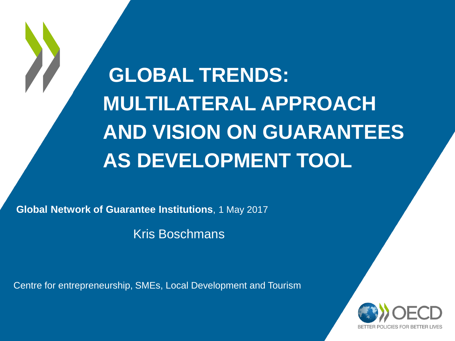**GLOBAL TRENDS: MULTILATERAL APPROACH AND VISION ON GUARANTEES AS DEVELOPMENT TOOL**

**Global Network of Guarantee Institutions**, 1 May 2017

Kris Boschmans

Centre for entrepreneurship, SMEs, Local Development and Tourism

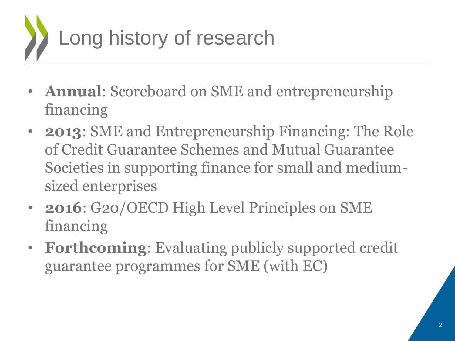

- **Annual**: Scoreboard on SME and entrepreneurship financing
- **2013**: SME and Entrepreneurship Financing: The Role of Credit Guarantee Schemes and Mutual Guarantee Societies in supporting finance for small and mediumsized enterprises
- **2016**: G20/OECD High Level Principles on SME financing
- **Forthcoming**: Evaluating publicly supported credit guarantee programmes for SME (with EC)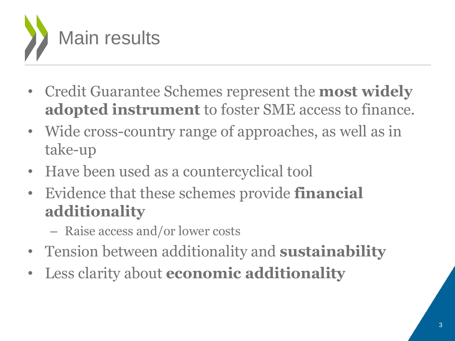

- Credit Guarantee Schemes represent the **most widely adopted instrument** to foster SME access to finance.
- Wide cross-country range of approaches, as well as in take-up
- Have been used as a countercyclical tool
- Evidence that these schemes provide **financial additionality**
	- Raise access and/or lower costs
- Tension between additionality and **sustainability**
- Less clarity about **economic additionality**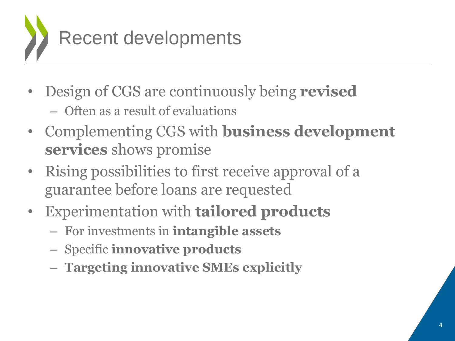

- Design of CGS are continuously being **revised**
	- Often as a result of evaluations
- Complementing CGS with **business development services** shows promise
- Rising possibilities to first receive approval of a guarantee before loans are requested
- Experimentation with **tailored products**
	- For investments in **intangible assets**
	- Specific **innovative products**
	- **Targeting innovative SMEs explicitly**